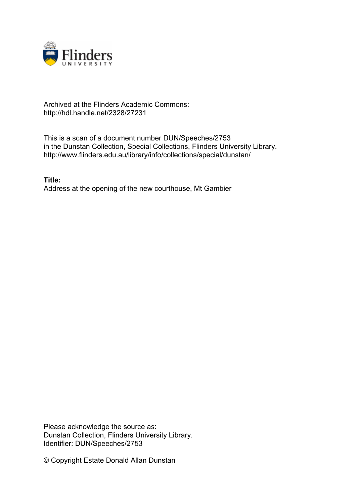

## Archived at the Flinders Academic Commons: http://hdl.handle.net/2328/27231

This is a scan of a document number DUN/Speeches/2753 in the Dunstan Collection, Special Collections, Flinders University Library. http://www.flinders.edu.au/library/info/collections/special/dunstan/

**Title:** Address at the opening of the new courthouse, Mt Gambier

Please acknowledge the source as: Dunstan Collection, Flinders University Library. Identifier: DUN/Speeches/2753

© Copyright Estate Donald Allan Dunstan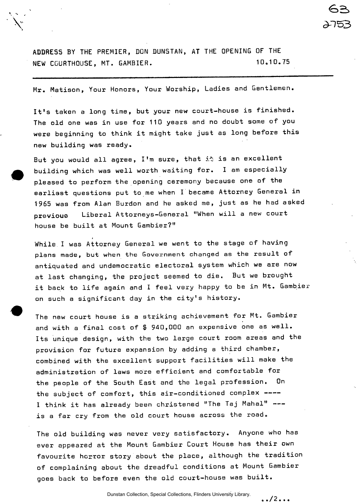ADDRESS BY THE PREMIER, DON DUNSTAN, AT THE OPENING OF THE NEW COURTHOUSE, MT. GAMBIER. 10.10.75

Mr. Matison, Your Honors, Your Worship, Ladies and Gentlemen.

It's taken a long time, but your new court-house is finished. The old one was in use for 110 years and no doubt some of you were beginning to think it might take just as long before this new building was ready.

But you would all agree, I'm sure, that it is an excellent building which was well worth waiting for. I am especially pleased to perform the opening ceremony because one of the earliest questions put to me when I became Attorney General in 1965 was from Alan Burdon and he asked me, just as he had asked previouo Liberal Attorneys-General "When will a new court house be built at Mount Gambier?"

While I was Attorney General we went to the stage of having plans made, but when the Government changed as the result of plans made, but when the Government changed as the result of antiquated and undemocratic electoral system which we are now at last changing, the project seemed to die. But we brought it back to life again and I feel very happy to be in Mt. Gambier on such a significant day in the city's history.

The new court house is a striking achievement for Mt. Gambier and with a final cost of \$ 940,000 an expensive one as well. Its unique design, with the two large court room areas and the provision for future expansion by adding a third chamber, combined with the excellent support facilities will make the administration of laws more efficient and comfortable for the people of the South East and the legal profession. On the subject of comfort, this air-conditioned complex ----I think it has already been christened "The Taj Mahal" is a far cry from the old court house across the road.

The old building was never very satisfactory. Anyone who has ever appeared at the Mount Gambier Court House has their own favourite horror story about the place, although the tradition of complaining about the dreadful conditions at Mount Gambier goes back to before even the old court-house was built,

> **. . / 2. .**  Dunstan Collection, Special Collections, Flinders University Library.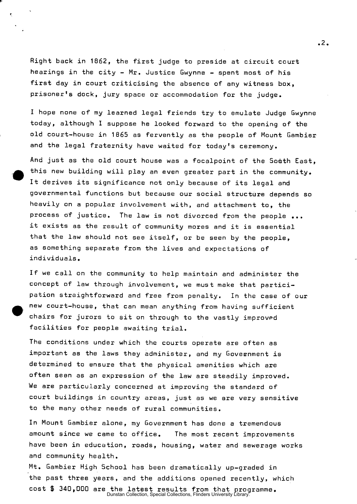Right back in 1862, the first judge to preside at circuit court hearings in the city - Mr. Justice Gwynne - spent most of his first day in court criticising the absence of any witness box, prisoner's dock, jury space or accommodation for the judge.

I hope none of my learned legal friends try to emulate Judge Gwynne today, although I suppose he looked forward to the opening of the old court-house in 1865 as fervently as the people of Mount Gambier and the legal fraternity have waited for today's ceremony.

And just as the old court house was a focalpoint of the South East, this new building will play an even greater part in the community. It derives its significance not only because of its legal and governmental functions but because our social structure depends so heavily on a popular involvement with, and attachment to, the process of justice. The law is not divorced from the people ... it exists as the result of community mores and it is essential that the law should not see itself, or be seen by the people, as something separate from the lives and expectations of individuals.

If we call on the community to help maintain and administer the concept of law through involvement, we must make that participation straightforward and free from penalty. In the case of our new court-house, that can mean anything from having sufficient chairs for jurors to sit on through to the vastly improvpd facilities for people awaiting trial.

The conditions under which the courts operate are often as important as the laws they administer, and my Government is determined to ensure that the physical amenities which are often seen as an expression of the law are steadily improved. We are particularly concerned at improving the standard of court buildings in country areas, just as we are very sensitive to the many other needs of rural communities.

In Mount Gambier alone, my Government has done a tremendous amount since we came to office. The most recent improvements have been in education, roads, housing, water and sewerage works and community health.

Mt. Gambier High School has been dramatically up-graded in the past three years, and the additions opened recently, which cost \$ 340,000 are the latest results from that programme. Dunstan Collection, Special Collections, Flinders University Library.

**.2**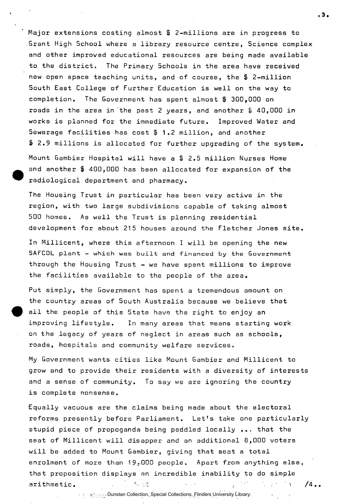Major extensions costing almost \$ 2-millions are in progress to Grant High School where a library resource centre, Science complex and other improved educational resources are being made available to the district. The Primary Schools in the area have received new open space teaching units, and of course, the \$ 2-million South East College of Further Education is well on the way to completion. The Government has spent almost \$ 300,000 on roads in the area in the past 2 years, and another \$ 40,000 in works is planned for the immediate future. Improved Water and Sewerage facilities has cost \$ 1.2 million, and another \$ 2.9 millions is allocated for further upgrading of the system. Mount Gambier Hospital will have a % 2.5 million Nurses Home and another \$ 400,000 has been allocated for expansion of the

The Housing Trust in particular has been very active in the region, with two large subdivisions capable of taking almost 500 homes. As well the Trust is planning residential development for about 215 houses around the Fletcher Jones site.

radiological department and pharmacy.

In Millicent, where this afternoon I will be opening the new **SAFCOL** plant - which was built and **financed** by the Government through the Housing Trust - we have spent millions to improve the facilities available to the people of the area.

Put simply, the Government has spent a tremendous amount on the country areas of South Australia because we believe that all the people of this State have the right to enjoy an improving lifestyle. In many areas that means starting work on the legacy of years of neglect in areas such as schools, roads, hospitals and community welfare services.

My Government wants cities like Mount Gambier and Millicent to grow and to provide their residents with a diversity of interests and a sense of community. To say we are ignoring the country is complete nonsense.

Equally vacuous are the claims being made about the electoral reforms presently before Parliament. Let's take one particularly stupid piece of propoganda being peddled locally ... that the seat of Millicent will disapper and an additional 8,000 voters will be added to Mount Gambier, giving that seat a total enrolment of more than  $19,000$  people. Apart from anything else, that proposition displays an incredible inability to do simple arithmetic. The set of  $\mathbb{R}^n$  is the set of  $\mathbb{R}^n$  ,  $\mathbb{R}^n$  ,  $\mathbb{R}^n$  ,  $\mathbb{R}^n$ 

ه 3 ه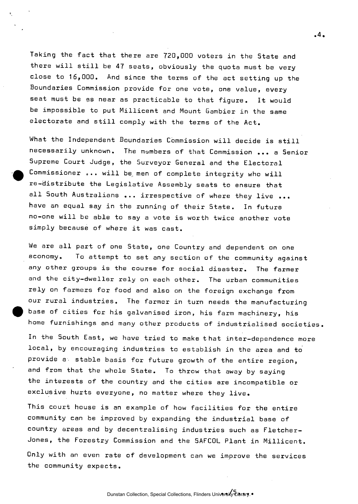Taking the fact that there are 720,000 voters in the State and there will still be 47 seats, obviously the quota must be very close to 16,000. And since the terms of the act setting up the Boundaries Commission provide for one vote, one value, every seat must be as near as practicable to that figure. It would be impossible to put Millicent and Mount Gambier in the same electorate and still comply with the terms of the Act.

What the Independent Boundaries Commission will decide is still necessarily unknown. The members of that Commission ... a Senior Supreme Court Judge, the Surveyor General and the Electoral Commissioner ... will be men of complete integrity who will re-distribute the Legislative Assembly seats to ensure that all South Australians ... irrespective of where they live ... have an equal say in the running of their State. In future no-one will be able to say a vote is worth twice another vote simply because of where it was cast.

We are all part of one State, one Country and dependent on one economy. To attempt to set any section of the community against any other groups is the course for social disaster. The farmer and the city-dweller rely on each other. The urban communities rely on farmers for food and also on the foreign exchange from our rural industries. The farmer in turn needs the manufacturing base of cities for his galvanised iron, his farm machinery, his home furnishings and many other products of industrialised societies

In the South East, we have tried to make that inter-dependence more local, by encouraging industries to establish in the area and to provide a stable basis for future growth of the entire region, and from that the whole State. To throw that away by saying the interests of the country and the cities are incompatible or exclusive hurts everyone, no matter where they live.

This court house is an example of how facilities for the entire community can be improved by expanding the industrial base of country areas and by decentralising industries such as Fletcher-Jones, the Forestry Commission and the SAFC0L Plant in Millicent. Only with an even rate of development can we improve the services the community expects.

 $.4.$